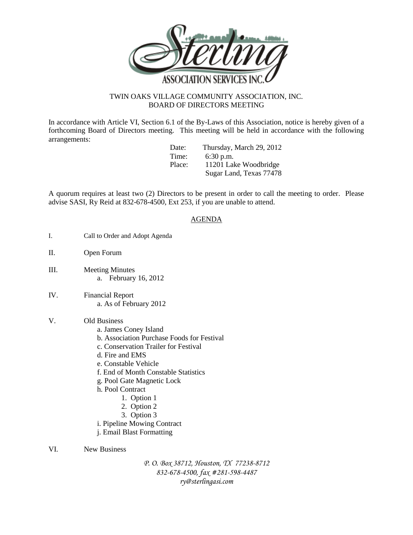

## TWIN OAKS VILLAGE COMMUNITY ASSOCIATION, INC. BOARD OF DIRECTORS MEETING

In accordance with Article VI, Section 6.1 of the By-Laws of this Association, notice is hereby given of a forthcoming Board of Directors meeting. This meeting will be held in accordance with the following arrangements:

Date: Thursday, March 29, 2012<br>Time: 6:30 pm  $6:30$  p.m. Place: 11201 Lake Woodbridge Sugar Land, Texas 77478

A quorum requires at least two (2) Directors to be present in order to call the meeting to order. Please advise SASI, Ry Reid at 832-678-4500, Ext 253, if you are unable to attend.

## AGENDA

- I. Call to Order and Adopt Agenda
- II. Open Forum
- III. Meeting Minutes a. February 16, 2012
- IV. Financial Report a. As of February 2012

## V. Old Business

- a. James Coney Island
- b. Association Purchase Foods for Festival
- c. Conservation Trailer for Festival
- d. Fire and EMS
- e. Constable Vehicle
- f. End of Month Constable Statistics
- g. Pool Gate Magnetic Lock
- h. Pool Contract
	- 1. Option 1
		- 2. Option 2
		- 3. Option 3
- i. Pipeline Mowing Contract
- j. Email Blast Formatting

VI. New Business

*P. O. Box 38712, Houston, TX 77238-8712 832-678-4500, fax #281-598-4487 ry@sterlingasi.com*